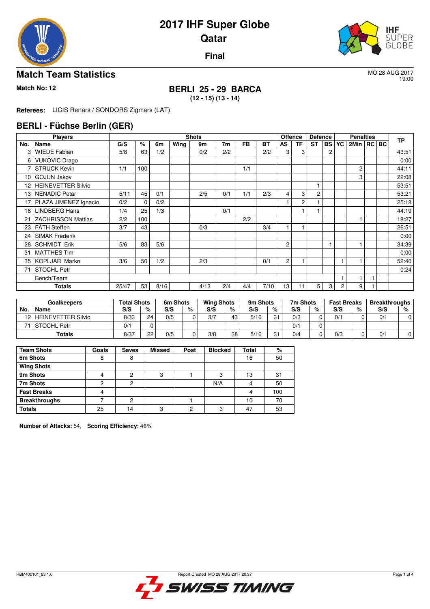

19:00

**Final**

## **Match Team Statistics** More 2017

# **Match No: 12 BERLI 25 - 29 BARCA**

**(12 - 15) (13 - 14)**

**Referees:** LICIS Renars / SONDORS Zigmars (LAT)

### **BERLI - Füchse Berlin (GER)**

|                 | <b>Players</b>            |       |     |      |      | <b>Shots</b> |     |           |      | <b>Offence</b>  |                | <b>Defence</b> |                |   | <b>Penalties</b> |  | <b>TP</b> |
|-----------------|---------------------------|-------|-----|------|------|--------------|-----|-----------|------|-----------------|----------------|----------------|----------------|---|------------------|--|-----------|
| No.             | Name                      | G/S   | %   | 6m   | Wing | 9m           | 7m  | <b>FB</b> | ВT   | AS              | TF             | <b>ST</b>      | <b>BS YC</b>   |   | 2Min   RC   BC   |  |           |
| 3               | <b>WIEDE Fabian</b>       | 5/8   | 63  | 1/2  |      | 0/2          | 2/2 |           | 2/2  | 3               | 3              |                | $\overline{c}$ |   |                  |  | 43.51     |
| 6               | <b>VUKOVIC Drago</b>      |       |     |      |      |              |     |           |      |                 |                |                |                |   |                  |  | 0:00      |
| 7               | <b>STRUCK Kevin</b>       | 1/1   | 100 |      |      |              |     | 1/1       |      |                 |                |                |                |   | $\overline{c}$   |  | 44:11     |
| 10              | <b>GOJUN Jakov</b>        |       |     |      |      |              |     |           |      |                 |                |                |                |   | 3                |  | 22:08     |
| 12              | <b>HEINEVETTER Silvio</b> |       |     |      |      |              |     |           |      |                 |                |                |                |   |                  |  | 53:51     |
| 13              | NENADIC Petar             | 5/11  | 45  | 0/1  |      | 2/5          | 0/1 | 1/1       | 2/3  | 4               | 3              | $\overline{c}$ |                |   |                  |  | 53:21     |
| 17 <sub>1</sub> | PLAZA JIMENEZ Ignacio     | 0/2   | 0   | 0/2  |      |              |     |           |      |                 | $\overline{c}$ |                |                |   |                  |  | 25.18     |
| 18 <sup>1</sup> | <b>LINDBERG Hans</b>      | 1/4   | 25  | 1/3  |      |              | 0/1 |           |      |                 |                |                |                |   |                  |  | 44:19     |
| 21              | <b>ZACHRISSON Mattias</b> | 2/2   | 100 |      |      |              |     | 2/2       |      |                 |                |                |                |   |                  |  | 18:27     |
| 23 l            | l FÄTH Steffen            | 3/7   | 43  |      |      | 0/3          |     |           | 3/4  |                 |                |                |                |   |                  |  | 26:51     |
| 24 l            | SIMAK Frederik            |       |     |      |      |              |     |           |      |                 |                |                |                |   |                  |  | 0:00      |
| 28              | <b>SCHMIDT Erik</b>       | 5/6   | 83  | 5/6  |      |              |     |           |      | $\overline{c}$  |                |                |                |   |                  |  | 34:39     |
| 31              | <b>MATTHES Tim</b>        |       |     |      |      |              |     |           |      |                 |                |                |                |   |                  |  | 0:00      |
| 35              | KOPLJAR Marko             | 3/6   | 50  | 1/2  |      | 2/3          |     |           | 0/1  | $\overline{2}$  |                |                |                |   |                  |  | 52:40     |
| 71              | <b>STOCHL Petr</b>        |       |     |      |      |              |     |           |      |                 |                |                |                |   |                  |  | 0:24      |
|                 | Bench/Team                |       |     |      |      |              |     |           |      |                 |                |                |                |   |                  |  |           |
|                 | Totals                    | 25/47 | 53  | 8/16 |      | 4/13         | 2/4 | 4/4       | 7/10 | 13 <sub>1</sub> | 11             | 5              | 3              | 2 | 9                |  |           |

|     | <b>Goalkeepers</b>      | <b>Total Shots</b> |    | 6m Shots |   | <b>Wing Shots</b> |    | 9m Shots |                | 7m Shots |   | <b>Fast Breaks</b> |   | <b>Breakthroughs</b> |   |
|-----|-------------------------|--------------------|----|----------|---|-------------------|----|----------|----------------|----------|---|--------------------|---|----------------------|---|
| No. | Name                    | S/S                | %  | S/S      | % | S/S               | %  | S/S      | %              | S/S      | % | S/S                | % | S/S                  | % |
|     | 12   HEINEVETTER Silvio | 8/33               | 24 | 0/5      |   | 3/7               | 43 | 5/16     | O <sub>1</sub> | 0/3      |   | 0/1                |   | 0/1                  |   |
|     | l STOCHL Petr           | 0/1                |    |          |   |                   |    |          |                | 0/1      |   |                    |   |                      |   |
|     | <b>Totals</b>           | 8/37               | 22 | 0/5      |   | 3/8               | 38 | 5/16     | 01             | 0/4      |   | 0/3                |   | 0/1                  |   |

| <b>Team Shots</b>    | Goals | <b>Saves</b> | Missed | Post | <b>Blocked</b> | Total | %   |
|----------------------|-------|--------------|--------|------|----------------|-------|-----|
| 6m Shots             | 8     | 8            |        |      |                | 16    | 50  |
| <b>Wing Shots</b>    |       |              |        |      |                |       |     |
| 9m Shots             |       | ◠            | 3      |      | 3              | 13    | 31  |
| 7m Shots             | ◠     | 2            |        |      | N/A            |       | 50  |
| <b>Fast Breaks</b>   |       |              |        |      |                |       | 100 |
| <b>Breakthroughs</b> |       | っ            |        |      |                | 10    | 70  |
| <b>Totals</b>        | 25    | 14           | C      | റ    | C              | 47    | 53  |

**Number of Attacks:** 54, **Scoring Efficiency:** 46%

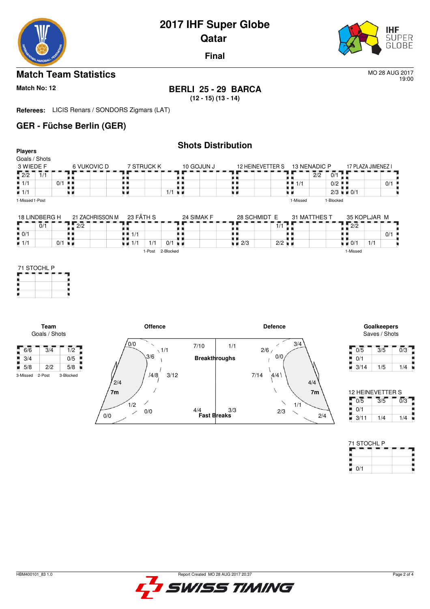

19:00

**Final**

## **Match Team Statistics** More 2017

# **Match No: 12 BERLI 25 - 29 BARCA**

**(12 - 15) (13 - 14)**

**Referees:** LICIS Renars / SONDORS Zigmars (LAT)

## **GER - Füchse Berlin (GER)**

|                                             |                                                 |                                   |                             | <b>Shots Distribution</b> |                    |                      |              |                                                 |                                   |                             |                  |
|---------------------------------------------|-------------------------------------------------|-----------------------------------|-----------------------------|---------------------------|--------------------|----------------------|--------------|-------------------------------------------------|-----------------------------------|-----------------------------|------------------|
| <b>Players</b><br>Goals / Shots             |                                                 |                                   |                             |                           |                    |                      |              |                                                 |                                   |                             |                  |
| 3 WIEDE F                                   | 6 VUKOVIC D                                     | 7 STRUCK K                        |                             | 10 GOJUN J                | 12 HEINEVETTER S   |                      | 13 NENADIC P |                                                 | 17 PLAZA JIMENEZ I                |                             |                  |
| $\sqrt{2/2}$<br>$\overline{1}/\overline{1}$ |                                                 |                                   |                             |                           |                    |                      |              | $\overline{0/1}$<br>$\overline{2}/\overline{2}$ |                                   |                             |                  |
| $\frac{11}{1}$ 1/1                          | $0/1$                                           | . .                               |                             |                           | . .                |                      | $-1/1$       | $0/2$ $\blacksquare$                            |                                   |                             | 0/1              |
| $\blacksquare$ 1/1                          | .,<br>9 H                                       | 原 的                               | $1/1$ $\blacksquare$        |                           | 电电                 |                      | . .<br>u p   |                                                 | $2/3$ $\blacksquare$ 0/1          |                             |                  |
| 1-Missed 1-Post                             |                                                 |                                   |                             |                           |                    |                      | 1-Missed     | 1-Blocked                                       |                                   |                             |                  |
|                                             |                                                 |                                   |                             |                           |                    |                      |              |                                                 |                                   |                             |                  |
| 18 LINDBERG H                               | 21 ZACHRISSON M                                 | 23 FÄTH S                         |                             | 24 SIMAK F                | 28 SCHMIDT E       |                      | 31 MATTHES T |                                                 | 35 KOPLJAR M                      |                             |                  |
| $\overline{0}/\overline{1}$                 | 2/2                                             |                                   |                             |                           |                    | 1/1                  |              |                                                 | $\sqrt{2/2}$                      |                             |                  |
| $\frac{10}{10}$ 0/1                         | . .<br>. .                                      | $\blacksquare$ $\blacksquare$ 1/1 |                             | ٠                         | . .                | ▪                    |              |                                                 |                                   |                             | 0/1              |
| $\blacksquare$ 1/1                          | $0/1$ $\blacksquare$                            | $\blacksquare$ $\blacksquare$ 1/1 | 1/1<br>$0/1$ $\blacksquare$ |                           | $\blacksquare$ 2/3 | $2/2$ $\blacksquare$ |              |                                                 | $\blacksquare$ $\blacksquare$ 0/1 | 1/1                         |                  |
|                                             | Team<br>Goals / Shots                           |                                   | <b>Offence</b>              |                           |                    | <b>Defence</b>       |              |                                                 |                                   | Goalkeepers                 |                  |
|                                             |                                                 | 0/0                               | $\diagup$                   | 7/10                      |                    |                      |              |                                                 |                                   |                             |                  |
| $-6/6$                                      | $\overline{1/2}$<br>$\overline{3}/\overline{4}$ |                                   |                             |                           |                    |                      | 3/4          |                                                 |                                   |                             | Saves / Shots    |
| 3/4                                         |                                                 |                                   | $\sqrt{1/1}$                |                           | 1/1                | 2/6/                 |              |                                                 | $\overline{0/5}$                  | $\overline{3}/\overline{5}$ |                  |
| $\blacksquare$ 5/8                          | 0/5                                             |                                   | 3/6                         | <b>Breakthroughs</b>      |                    | 0/0                  |              |                                                 | 0/1                               |                             | $\overline{0/3}$ |
|                                             | 2/2<br>5/8                                      |                                   |                             |                           |                    |                      |              |                                                 | 3/14<br>ш                         | 1/5                         |                  |
| 2-Post<br>3-Missed                          | 3-Blocked                                       |                                   | 3/12<br>14/8.               |                           | 7/14               | 4/4                  |              |                                                 |                                   |                             | 1/4              |
|                                             |                                                 | 2/4<br>7 <sub>m</sub>             |                             |                           |                    |                      | 4/4<br>7m    |                                                 |                                   | 12 HEINEVETTER S            |                  |
|                                             |                                                 |                                   |                             |                           |                    |                      |              |                                                 | 0/5                               | $\overline{3}/\overline{5}$ | $\overline{0/3}$ |
|                                             |                                                 | 1/2<br>0/0                        | 0/0                         | 4/4<br><b>Fast Breaks</b> | 3/3                | 2/3                  | 1/1          | 2/4                                             | 0/1                               |                             |                  |

 $0/1$ 

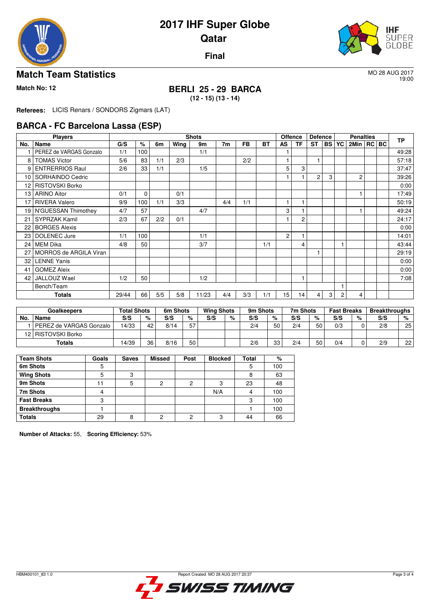

19:00

**Final**

### **Match Team Statistics** More 2017

## **Match No: 12 BERLI 25 - 29 BARCA**

**(12 - 15) (13 - 14)**

**Referees:** LICIS Renars / SONDORS Zigmars (LAT)

### **BARCA - FC Barcelona Lassa (ESP)**

|                 | <b>Players</b>          |       |      |     |      | <b>Shots</b> |                |           |           | Offence        |           | <b>Defence</b> |           |    | <b>Penalties</b> |  | <b>TP</b> |
|-----------------|-------------------------|-------|------|-----|------|--------------|----------------|-----------|-----------|----------------|-----------|----------------|-----------|----|------------------|--|-----------|
| No.             | Name                    | G/S   | $\%$ | 6m  | Wing | 9m           | 7 <sub>m</sub> | <b>FB</b> | <b>BT</b> | AS             | <b>TF</b> | <b>ST</b>      | <b>BS</b> | YC | 2Min   RC   BC   |  |           |
|                 | PEREZ de VARGAS Gonzalo | 1/1   | 100  |     |      | 1/1          |                |           |           |                |           |                |           |    |                  |  | 49:28     |
| 8               | <b>TOMAS Victor</b>     | 5/6   | 83   | 1/1 | 2/3  |              |                | 2/2       |           |                |           |                |           |    |                  |  | 57:18     |
| 9               | <b>ENTRERRIOS Raul</b>  | 2/6   | 33   | 1/1 |      | 1/5          |                |           |           | 5              | 3         |                |           |    |                  |  | 37:47     |
| 10 <sup>1</sup> | SORHAINDO Cedric        |       |      |     |      |              |                |           |           |                |           | $\overline{2}$ | 3         |    | $\overline{2}$   |  | 39:26     |
| 12 <sup>2</sup> | <b>RISTOVSKI Borko</b>  |       |      |     |      |              |                |           |           |                |           |                |           |    |                  |  | 0:00      |
|                 | 13   ARINO Aitor        | 0/1   | 0    |     | 0/1  |              |                |           |           |                |           |                |           |    |                  |  | 17:49     |
| 17              | <b>RIVERA Valero</b>    | 9/9   | 100  | 1/1 | 3/3  |              | 4/4            | 1/1       |           |                | 1         |                |           |    |                  |  | 50:19     |
|                 | 19 N'GUESSAN Thimothey  | 4/7   | 57   |     |      | 4/7          |                |           |           | 3              | 1         |                |           |    |                  |  | 49:24     |
| 21              | <b>SYPRZAK Kamil</b>    | 2/3   | 67   | 2/2 | 0/1  |              |                |           |           |                | 2         |                |           |    |                  |  | 24:17     |
| 22              | <b>BORGES Alexis</b>    |       |      |     |      |              |                |           |           |                |           |                |           |    |                  |  | 0:00      |
| 23              | DOLENEC Jure            | 1/1   | 100  |     |      | 1/1          |                |           |           | $\overline{2}$ | 1         |                |           |    |                  |  | 14:01     |
| 24              | MEM Dika                | 4/8   | 50   |     |      | 3/7          |                |           | 1/1       |                | 4         |                |           |    |                  |  | 43:44     |
| 27              | MORROS de ARGILA Viran  |       |      |     |      |              |                |           |           |                |           |                |           |    |                  |  | 29:19     |
| 32              | <b>LENNE Yanis</b>      |       |      |     |      |              |                |           |           |                |           |                |           |    |                  |  | 0:00      |
| 41              | <b>GOMEZ Aleix</b>      |       |      |     |      |              |                |           |           |                |           |                |           |    |                  |  | 0:00      |
| 42              | JALLOUZ Wael            | 1/2   | 50   |     |      | 1/2          |                |           |           |                | 1         |                |           |    |                  |  | 7:08      |
|                 | Bench/Team              |       |      |     |      |              |                |           |           |                |           |                |           |    |                  |  |           |
|                 | Totals                  | 29/44 | 66   | 5/5 | 5/8  | 11/23        | 4/4            | 3/3       | 1/1       | 15             | 14        | 4              | 3         | 2  | 4                |  |           |

|     | <b>Goalkeepers</b>      | Total Shots |    | 6m Shots |    | <b>Wing Shots</b> |   | 9m Shots |    | 7m Shots |    | <b>Fast Breaks</b> |   | <b>Breakthroughs</b> |    |
|-----|-------------------------|-------------|----|----------|----|-------------------|---|----------|----|----------|----|--------------------|---|----------------------|----|
| No. | Name                    | S/S         | %  | S/S      | %  | S/S               | % | S/S      | %  | S/S      | %  | S/S                | % | S/S                  | %  |
|     | PEREZ de VARGAS Gonzalo | 14/33       | 42 | 8/14     | 57 |                   |   | 2/4      | 50 | 2/4      | 50 | 0/3                |   | 2/8                  | 25 |
|     | 12   RISTOVSKI Borko    |             |    |          |    |                   |   |          |    |          |    |                    |   |                      |    |
|     | Totals                  | 14/39       | 36 | 8/16     | 50 |                   |   | 2/6      | 33 | 2/4      | 50 | 0/4                |   | 2/9                  | 22 |

| <b>Team Shots</b>    | Goals | <b>Saves</b> | <b>Missed</b> | Post | <b>Blocked</b> | Total | %   |
|----------------------|-------|--------------|---------------|------|----------------|-------|-----|
| 6m Shots             | 5     |              |               |      |                | 5     | 100 |
| <b>Wing Shots</b>    | 5     | 3            |               |      |                | 8     | 63  |
| 9m Shots             |       | 5            | າ             | っ    | 3              | 23    | 48  |
| 7m Shots             |       |              |               |      | N/A            | 4     | 100 |
| <b>Fast Breaks</b>   | 3     |              |               |      |                | 3     | 100 |
| <b>Breakthroughs</b> |       |              |               |      |                |       | 100 |
| <b>Totals</b>        | 29    | я            | c             | c    | 3              | 44    | 66  |

**Number of Attacks:** 55, **Scoring Efficiency:** 53%